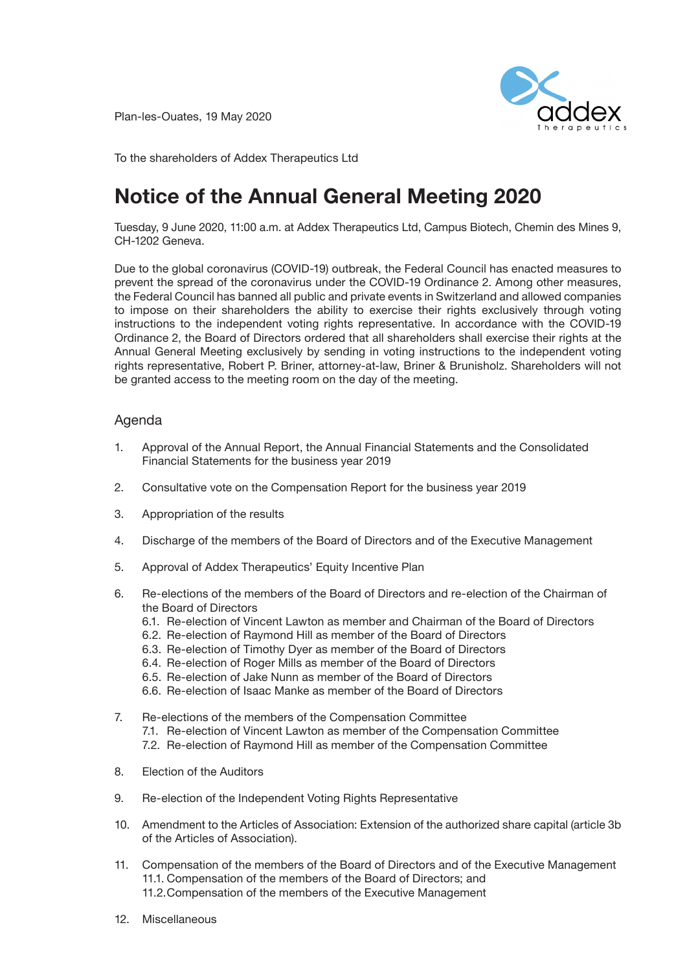Plan-les-Ouates, 19 May 2020



To the shareholders of Addex Therapeutics Ltd

# **Notice of the Annual General Meeting 2020**

Tuesday, 9 June 2020, 11:00 a.m. at Addex Therapeutics Ltd, Campus Biotech, Chemin des Mines 9, CH-1202 Geneva.

Due to the global coronavirus (COVID-19) outbreak, the Federal Council has enacted measures to Due to the global coronavirus (COVID-19) outbreak, the Federal Council has enacted measures to<br>prevent the spread of the coronavirus under the COVID-19 Ordinance 2. Among other measures, the Federal Council has banned all public and private events in Switzerland and allowed companies to impose on their shareholders the ability to exercise their rights exclusively through voting instructions to the independent voting rights representative. In accordance with the COVID-19 Ordinance 2, the Board of Directors ordered that all shareholders shall exercise their rights at the Annual General Meeting exclusively by sending in voting instructions to the independent voting rights representative, Robert P. Briner, attorney-at-law, Briner & Brunisholz. Shareholders will not be granted access to the meeting room on the day of the meeting.

## Agenda

- 1. Approval of the Annual Report, the Annual Financial Statements and the Consolidated Financial Statements for the business year 2019
- 2. Consultative vote on the Compensation Report for the business year 2019
- 3. Appropriation of the results
	- 4. Discharge of the members of the Board of Directors and of the Executive Management
- 5. Approval of Addex Therapeutics' Equity Incentive Plan  $\overline{2}$ . Adoption of a new article 39 regarding the exemption from the duty make an offer (optimization from the duty make an offer (optimization from the duty make an offer (optimization from the duty make an offer (opt
	- 6. Re-elections of the members of the Board of Directors and re-election of the Chairman of the Board of Directors
		- 6.1. Re-election of Vincent Lawton as member and Chairman of the Board of Directors
		- 6.2. Re-election of Raymond Hill as member of the Board of Directors
		- 6.3. Re-election of Timothy Dyer as member of the Board of Directors
		- 6.4. Re-election of Roger Mills as member of the Board of Directors
		- 6.5. Re-election of Jake Nunn as member of the Board of Directors
		- 6.6. Re-election of Isaac Manke as member of the Board of Directors
	- 7. Re-elections of the members of the Compensation Committee
		- 7.1. Re-election of Vincent Lawton as member of the Compensation Committee
		- 7.2. Re-election of Raymond Hill as member of the Compensation Committee
	- 8. Election of the Auditors
	- 9. Re-election of the Independent Voting Rights Representative
	- 10. Amendment to the Articles of Association: Extension of the authorized share capital (article 3b of the Articles of Association).
	- 11. Compensation of the members of the Board of Directors and of the Executive Management 11.1. Compensation of the members of the Board of Directors; and 11.2.Compensation of the members of the Executive Management
	- 12. Miscellaneous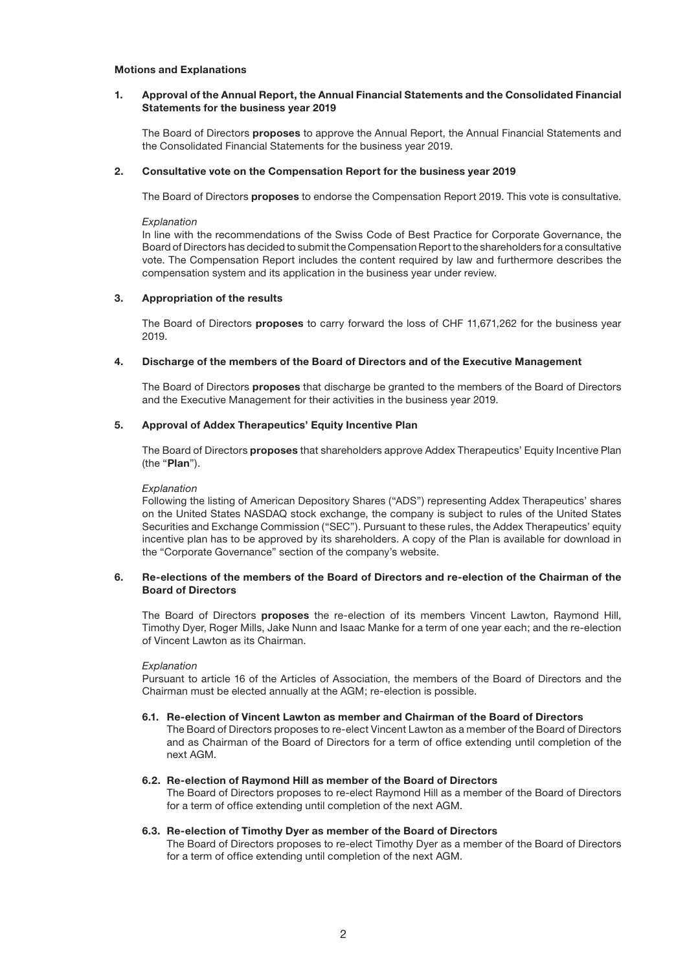#### **Motions and Explanations**

#### **1. Approval of the Annual Report, the Annual Financial Statements and the Consolidated Financial Statements for the business year 2019**

 The Board of Directors **proposes** to approve the Annual Report, the Annual Financial Statements and the Consolidated Financial Statements for the business year 2019.

#### **2. Consultative vote on the Compensation Report for the business year 2019**

The Board of Directors **proposes** to endorse the Compensation Report 2019. This vote is consultative.

*Explanation*

 In line with the recommendations of the Swiss Code of Best Practice for Corporate Governance, the Board of Directors has decided to submit the Compensation Report to the shareholders for a consultative vote. The Compensation Report includes the content required by law and furthermore describes the compensation system and its application in the business year under review.

### **3. Appropriation of the results**

 The Board of Directors **proposes** to carry forward the loss of CHF 11,671,262 for the business year 2019.

#### **4. Discharge of the members of the Board of Directors and of the Executive Management**

 The Board of Directors **proposes** that discharge be granted to the members of the Board of Directors and the Executive Management for their activities in the business year 2019.

#### **5. Approval of Addex Therapeutics' Equity Incentive Plan**

 The Board of Directors **proposes** that shareholders approve Addex Therapeutics' Equity Incentive Plan (the "**Plan**").

#### *Explanation*

 Following the listing of American Depository Shares ("ADS") representing Addex Therapeutics' shares on the United States NASDAQ stock exchange, the company is subject to rules of the United States Securities and Exchange Commission ("SEC"). Pursuant to these rules, the Addex Therapeutics' equity incentive plan has to be approved by its shareholders. A copy of the Plan is available for download in the "Corporate Governance" section of the company's website.

### **6. Re-elections of the members of the Board of Directors and re-election of the Chairman of the Board of Directors**

 The Board of Directors **proposes** the re-election of its members Vincent Lawton, Raymond Hill, Timothy Dyer, Roger Mills, Jake Nunn and Isaac Manke for a term of one year each; and the re-election of Vincent Lawton as its Chairman.

*Explanation*

 Pursuant to article 16 of the Articles of Association, the members of the Board of Directors and the Chairman must be elected annually at the AGM; re-election is possible.

#### **6.1. Re-election of Vincent Lawton as member and Chairman of the Board of Directors**

 The Board of Directors proposes to re-elect Vincent Lawton as a member of the Board of Directors and as Chairman of the Board of Directors for a term of office extending until completion of the next AGM.

#### **6.2. Re-election of Raymond Hill as member of the Board of Directors**

 The Board of Directors proposes to re-elect Raymond Hill as a member of the Board of Directors for a term of office extending until completion of the next AGM.

#### **6.3. Re-election of Timothy Dyer as member of the Board of Directors**

 The Board of Directors proposes to re-elect Timothy Dyer as a member of the Board of Directors for a term of office extending until completion of the next AGM.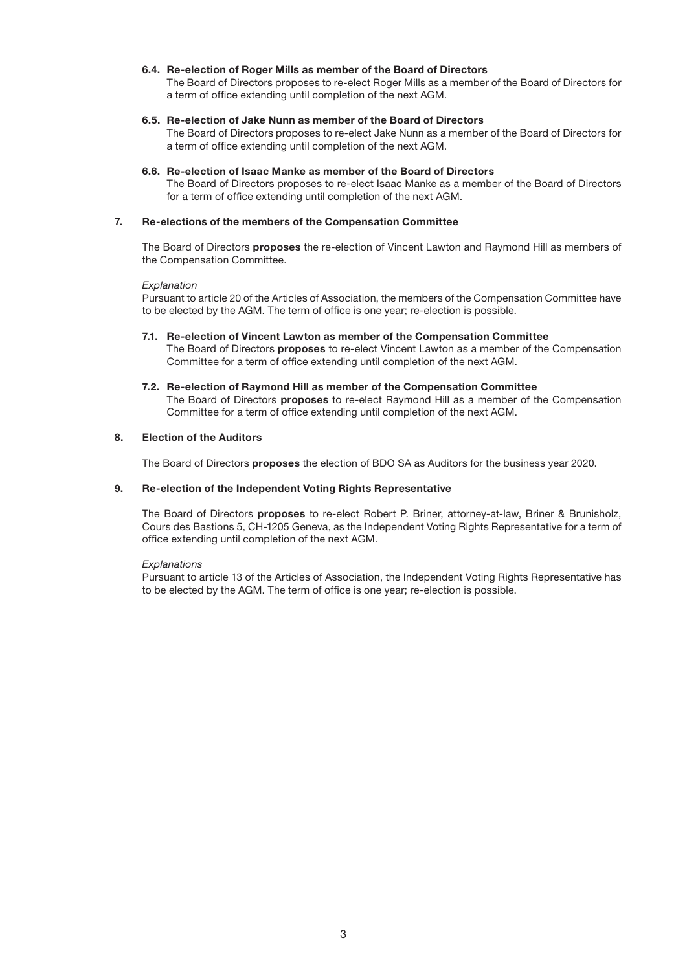#### **6.4. Re-election of Roger Mills as member of the Board of Directors**

 The Board of Directors proposes to re-elect Roger Mills as a member of the Board of Directors for a term of office extending until completion of the next AGM.

#### **6.5. Re-election of Jake Nunn as member of the Board of Directors**

 The Board of Directors proposes to re-elect Jake Nunn as a member of the Board of Directors for a term of office extending until completion of the next AGM.

#### **6.6. Re-election of Isaac Manke as member of the Board of Directors**

 The Board of Directors proposes to re-elect Isaac Manke as a member of the Board of Directors for a term of office extending until completion of the next AGM.

#### **7. Re-elections of the members of the Compensation Committee**

 The Board of Directors **proposes** the re-election of Vincent Lawton and Raymond Hill as members of the Compensation Committee.

#### *Explanation*

 Pursuant to article 20 of the Articles of Association, the members of the Compensation Committee have to be elected by the AGM. The term of office is one year; re-election is possible.

- **7.1. Re-election of Vincent Lawton as member of the Compensation Committee** The Board of Directors **proposes** to re-elect Vincent Lawton as a member of the Compensation Committee for a term of office extending until completion of the next AGM.
- **7.2. Re-election of Raymond Hill as member of the Compensation Committee** The Board of Directors **proposes** to re-elect Raymond Hill as a member of the Compensation Committee for a term of office extending until completion of the next AGM.

### **8. Election of the Auditors**

The Board of Directors **proposes** the election of BDO SA as Auditors for the business year 2020.

#### **9. Re-election of the Independent Voting Rights Representative**

 The Board of Directors **proposes** to re-elect Robert P. Briner, attorney-at-law, Briner & Brunisholz, Cours des Bastions 5, CH-1205 Geneva, as the Independent Voting Rights Representative for a term of office extending until completion of the next AGM.

#### *Explanations*

 Pursuant to article 13 of the Articles of Association, the Independent Voting Rights Representative has to be elected by the AGM. The term of office is one year; re-election is possible.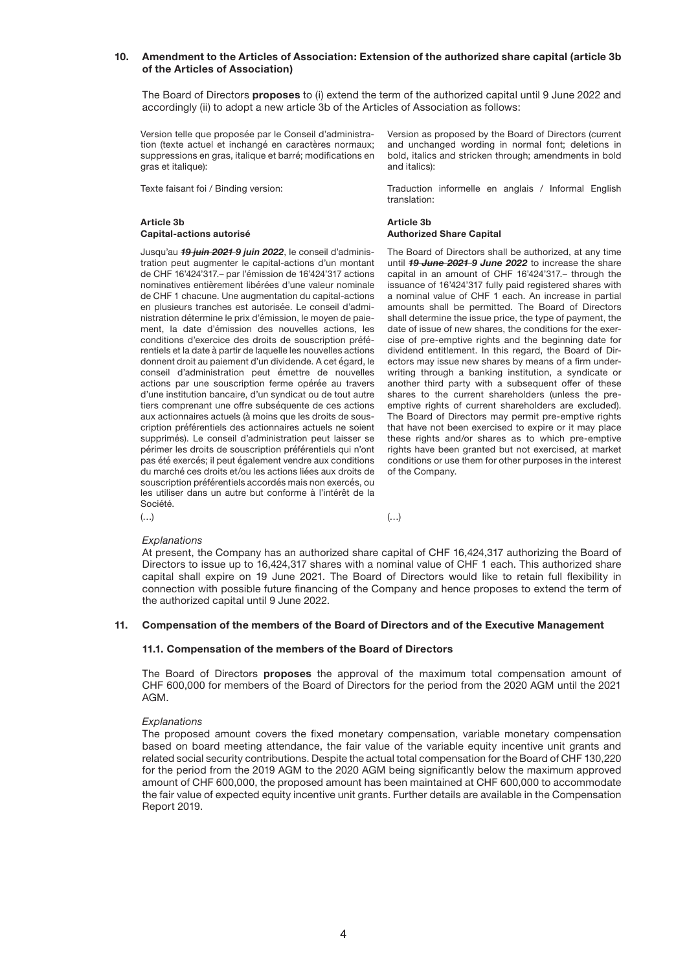### **10. Amendment to the Articles of Association: Extension of the authorized share capital (article 3b of the Articles of Association)**

 The Board of Directors **proposes** to (i) extend the term of the authorized capital until 9 June 2022 and accordingly (ii) to adopt a new article 3b of the Articles of Association as follows:

Version telle que proposée par le Conseil d'administration (texte actuel et inchangé en caractères normaux; suppressions en gras, italique et barré; modifications en gras et italique):

Texte faisant foi / Binding version:

### **Article 3b Article 3b Capital-actions autorisé Authorized Share Capital**

Jusqu'au *19 juin 2021 9 juin 2022*, le conseil d'administration peut augmenter le capital-actions d'un montant de CHF 16'424'317.– par l'émission de 16'424'317 actions nominatives entièrement libérées d'une valeur nominale de CHF 1 chacune. Une augmentation du capital-actions en plusieurs tranches est autorisée. Le conseil d'administration détermine le prix d'émission, le moyen de paiement, la date d'émission des nouvelles actions, les conditions d'exercice des droits de souscription préférentiels et la date à partir de laquelle les nouvelles actions donnent droit au paiement d'un dividende. A cet égard, le conseil d'administration peut émettre de nouvelles actions par une souscription ferme opérée au travers d'une institution bancaire, d'un syndicat ou de tout autre tiers comprenant une offre subséquente de ces actions aux actionnaires actuels (à moins que les droits de souscription préférentiels des actionnaires actuels ne soient supprimés). Le conseil d'administration peut laisser se périmer les droits de souscription préférentiels qui n'ont pas été exercés; il peut également vendre aux conditions du marché ces droits et/ou les actions liées aux droits de souscription préférentiels accordés mais non exercés, ou les utiliser dans un autre but conforme à l'intérêt de la Société. (…) (…)

Version as proposed by the Board of Directors (current and unchanged wording in normal font; deletions in bold, italics and stricken through; amendments in bold and italics):

Traduction informelle en anglais / Informal English translation:

The Board of Directors shall be authorized, at any time until *19 June 2021 9 June 2022* to increase the share capital in an amount of CHF 16'424'317.– through the issuance of 16'424'317 fully paid registered shares with a nominal value of CHF 1 each. An increase in partial amounts shall be permitted. The Board of Directors shall determine the issue price, the type of payment, the date of issue of new shares, the conditions for the exercise of pre-emptive rights and the beginning date for dividend entitlement. In this regard, the Board of Directors may issue new shares by means of a firm underwriting through a banking institution, a syndicate or another third party with a subsequent offer of these shares to the current shareholders (unless the preemptive rights of current shareholders are excluded). The Board of Directors may permit pre-emptive rights that have not been exercised to expire or it may place these rights and/or shares as to which pre-emptive rights have been granted but not exercised, at market conditions or use them for other purposes in the interest of the Company.

#### *Explanations*

 At present, the Company has an authorized share capital of CHF 16,424,317 authorizing the Board of Directors to issue up to 16,424,317 shares with a nominal value of CHF 1 each. This authorized share capital shall expire on 19 June 2021. The Board of Directors would like to retain full flexibility in connection with possible future financing of the Company and hence proposes to extend the term of the authorized capital until 9 June 2022.

#### **11. Compensation of the members of the Board of Directors and of the Executive Management**

#### **11.1. Compensation of the members of the Board of Directors**

 The Board of Directors **proposes** the approval of the maximum total compensation amount of CHF 600,000 for members of the Board of Directors for the period from the 2020 AGM until the 2021 AGM.

#### *Explanations*

The proposed amount covers the fixed monetary compensation, variable monetary compensation based on board meeting attendance, the fair value of the variable equity incentive unit grants and related social security contributions. Despite the actual total compensation for the Board of CHF 130,220 for the period from the 2019 AGM to the 2020 AGM being significantly below the maximum approved amount of CHF 600,000, the proposed amount has been maintained at CHF 600,000 to accommodate the fair value of expected equity incentive unit grants. Further details are available in the Compensation Report 2019.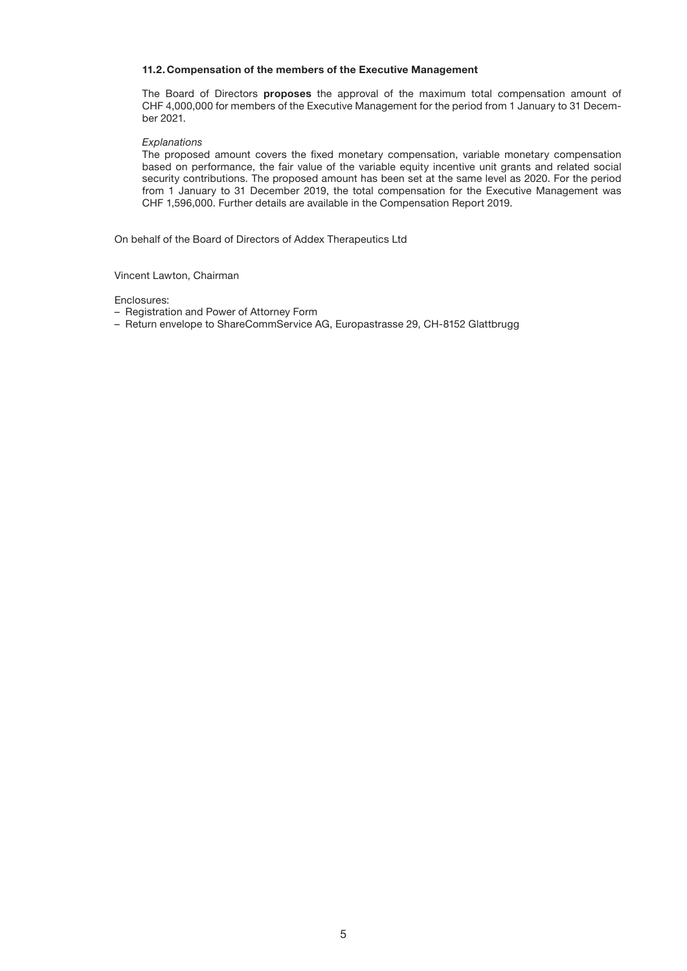#### **11.2.Compensation of the members of the Executive Management**

 The Board of Directors **proposes** the approval of the maximum total compensation amount of CHF 4,000,000 for members of the Executive Management for the period from 1 January to 31 December 2021.

#### *Explanations*

The proposed amount covers the fixed monetary compensation, variable monetary compensation based on performance, the fair value of the variable equity incentive unit grants and related social security contributions. The proposed amount has been set at the same level as 2020. For the period from 1 January to 31 December 2019, the total compensation for the Executive Management was CHF 1,596,000. Further details are available in the Compensation Report 2019.

On behalf of the Board of Directors of Addex Therapeutics Ltd

#### Vincent Lawton, Chairman

Enclosures:

- Registration and Power of Attorney Form
- Return envelope to ShareCommService AG, Europastrasse 29, CH-8152 Glattbrugg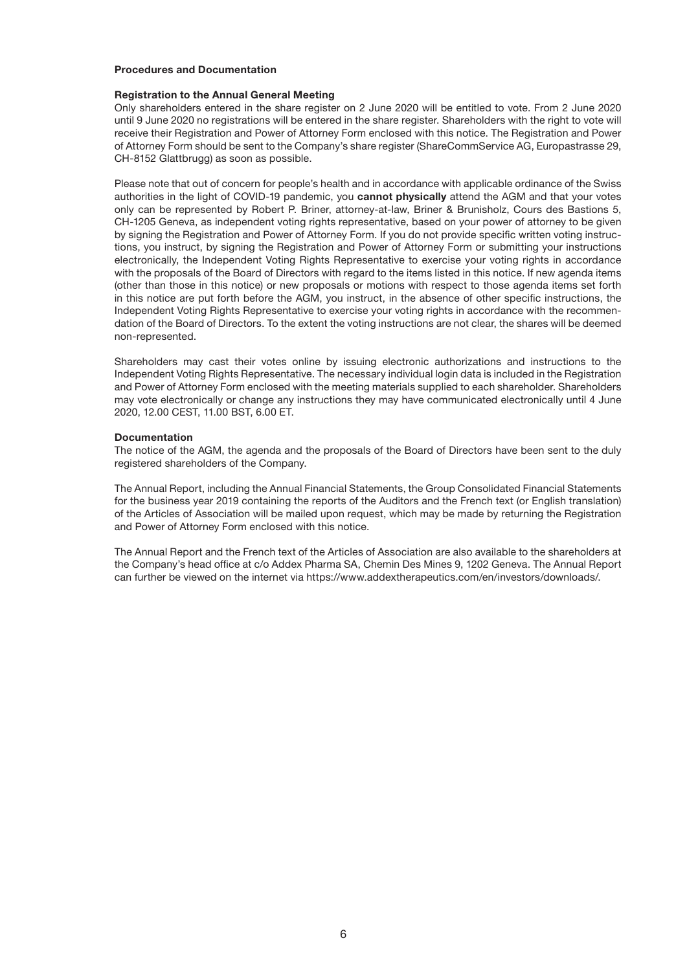#### **Procedures and Documentation**

#### **Registration to the Annual General Meeting**

Only shareholders entered in the share register on 2 June 2020 will be entitled to vote. From 2 June 2020 until 9 June 2020 no registrations will be entered in the share register. Shareholders with the right to vote will receive their Registration and Power of Attorney Form enclosed with this notice. The Registration and Power of Attorney Form should be sent to the Company's share register (ShareCommService AG, Europastrasse 29, CH-8152 Glattbrugg) as soon as possible.

Please note that out of concern for people's health and in accordance with applicable ordinance of the Swiss authorities in the light of COVID-19 pandemic, you **cannot physically** attend the AGM and that your votes only can be represented by Robert P. Briner, attorney-at-law, Briner & Brunisholz, Cours des Bastions 5, CH-1205 Geneva, as independent voting rights representative, based on your power of attorney to be given by signing the Registration and Power of Attorney Form. If you do not provide specific written voting instructions, you instruct, by signing the Registration and Power of Attorney Form or submitting your instructions electronically, the Independent Voting Rights Representative to exercise your voting rights in accordance with the proposals of the Board of Directors with regard to the items listed in this notice. If new agenda items (other than those in this notice) or new proposals or motions with respect to those agenda items set forth in this notice are put forth before the AGM, you instruct, in the absence of other specific instructions, the Independent Voting Rights Representative to exercise your voting rights in accordance with the recommendation of the Board of Directors. To the extent the voting instructions are not clear, the shares will be deemed non-represented.

Shareholders may cast their votes online by issuing electronic authorizations and instructions to the Independent Voting Rights Representative. The necessary individual login data is included in the Registration and Power of Attorney Form enclosed with the meeting materials supplied to each shareholder. Shareholders may vote electronically or change any instructions they may have communicated electronically until 4 June 2020, 12.00 CEST, 11.00 BST, 6.00 ET.

#### **Documentation**

The notice of the AGM, the agenda and the proposals of the Board of Directors have been sent to the duly registered shareholders of the Company.

The Annual Report, including the Annual Financial Statements, the Group Consolidated Financial Statements for the business year 2019 containing the reports of the Auditors and the French text (or English translation) of the Articles of Association will be mailed upon request, which may be made by returning the Registration and Power of Attorney Form enclosed with this notice.

The Annual Report and the French text of the Articles of Association are also available to the shareholders at the Company's head office at c/o Addex Pharma SA, Chemin Des Mines 9, 1202 Geneva. The Annual Report can further be viewed on the internet via https://www.addextherapeutics.com/en/investors/downloads/.